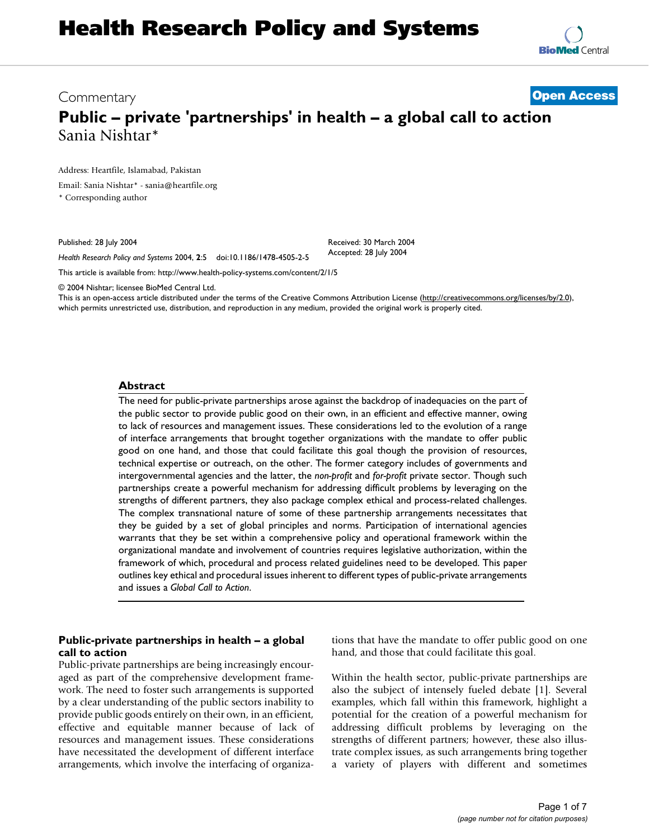# Commentary **[Open Access](http://www.biomedcentral.com/info/about/charter/) Public – private 'partnerships' in health – a global call to action** Sania Nishtar\*

Address: Heartfile, Islamabad, Pakistan

Email: Sania Nishtar\* - sania@heartfile.org

\* Corresponding author

Published: 28 July 2004

Received: 30 March 2004 Accepted: 28 July 2004

[This article is available from: http://www.health-policy-systems.com/content/2/1/5](http://www.health-policy-systems.com/content/2/1/5)

*Health Research Policy and Systems* 2004, **2**:5 doi:10.1186/1478-4505-2-5

© 2004 Nishtar; licensee BioMed Central Ltd.

This is an open-access article distributed under the terms of the Creative Commons Attribution License (<http://creativecommons.org/licenses/by/2.0>), which permits unrestricted use, distribution, and reproduction in any medium, provided the original work is properly cited.

#### **Abstract**

The need for public-private partnerships arose against the backdrop of inadequacies on the part of the public sector to provide public good on their own, in an efficient and effective manner, owing to lack of resources and management issues. These considerations led to the evolution of a range of interface arrangements that brought together organizations with the mandate to offer public good on one hand, and those that could facilitate this goal though the provision of resources, technical expertise or outreach, on the other. The former category includes of governments and intergovernmental agencies and the latter, the *non-profit* and *for-profit* private sector. Though such partnerships create a powerful mechanism for addressing difficult problems by leveraging on the strengths of different partners, they also package complex ethical and process-related challenges. The complex transnational nature of some of these partnership arrangements necessitates that they be guided by a set of global principles and norms. Participation of international agencies warrants that they be set within a comprehensive policy and operational framework within the organizational mandate and involvement of countries requires legislative authorization, within the framework of which, procedural and process related guidelines need to be developed. This paper outlines key ethical and procedural issues inherent to different types of public-private arrangements and issues a *Global Call to Action*.

### **Public-private partnerships in health – a global call to action**

Public-private partnerships are being increasingly encouraged as part of the comprehensive development framework. The need to foster such arrangements is supported by a clear understanding of the public sectors inability to provide public goods entirely on their own, in an efficient, effective and equitable manner because of lack of resources and management issues. These considerations have necessitated the development of different interface arrangements, which involve the interfacing of organizations that have the mandate to offer public good on one hand, and those that could facilitate this goal.

Within the health sector, public-private partnerships are also the subject of intensely fueled debate [1]. Several examples, which fall within this framework, highlight a potential for the creation of a powerful mechanism for addressing difficult problems by leveraging on the strengths of different partners; however, these also illustrate complex issues, as such arrangements bring together a variety of players with different and sometimes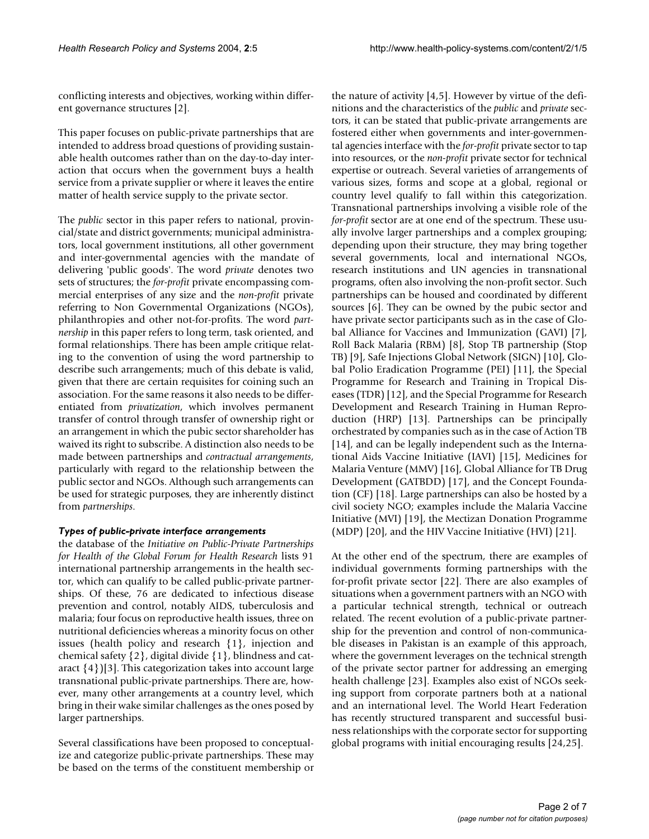conflicting interests and objectives, working within different governance structures [2].

This paper focuses on public-private partnerships that are intended to address broad questions of providing sustainable health outcomes rather than on the day-to-day interaction that occurs when the government buys a health service from a private supplier or where it leaves the entire matter of health service supply to the private sector.

The *public* sector in this paper refers to national, provincial/state and district governments; municipal administrators, local government institutions, all other government and inter-governmental agencies with the mandate of delivering 'public goods'. The word *private* denotes two sets of structures; the *for-profit* private encompassing commercial enterprises of any size and the *non-profit* private referring to Non Governmental Organizations (NGOs), philanthropies and other not-for-profits. The word *partnership* in this paper refers to long term, task oriented, and formal relationships. There has been ample critique relating to the convention of using the word partnership to describe such arrangements; much of this debate is valid, given that there are certain requisites for coining such an association. For the same reasons it also needs to be differentiated from *privatization*, which involves permanent transfer of control through transfer of ownership right or an arrangement in which the pubic sector shareholder has waived its right to subscribe. A distinction also needs to be made between partnerships and *contractual arrangements*, particularly with regard to the relationship between the public sector and NGOs. Although such arrangements can be used for strategic purposes, they are inherently distinct from *partnerships*.

## *Types of public-private interface arrangements*

the database of the *Initiative on Public-Private Partnerships for Health of the Global Forum for Health Research* lists 91 international partnership arrangements in the health sector, which can qualify to be called public-private partnerships. Of these, 76 are dedicated to infectious disease prevention and control, notably AIDS, tuberculosis and malaria; four focus on reproductive health issues, three on nutritional deficiencies whereas a minority focus on other issues (health policy and research {1}, injection and chemical safety {2}, digital divide {1}, blindness and cataract  $\{4\}$ ][3]. This categorization takes into account large transnational public-private partnerships. There are, however, many other arrangements at a country level, which bring in their wake similar challenges as the ones posed by larger partnerships.

Several classifications have been proposed to conceptualize and categorize public-private partnerships. These may be based on the terms of the constituent membership or the nature of activity [4,5]. However by virtue of the definitions and the characteristics of the *public* and *private* sectors, it can be stated that public-private arrangements are fostered either when governments and inter-governmental agencies interface with the *for-profit* private sector to tap into resources, or the *non-profit* private sector for technical expertise or outreach. Several varieties of arrangements of various sizes, forms and scope at a global, regional or country level qualify to fall within this categorization. Transnational partnerships involving a visible role of the *for-profit* sector are at one end of the spectrum. These usually involve larger partnerships and a complex grouping; depending upon their structure, they may bring together several governments, local and international NGOs, research institutions and UN agencies in transnational programs, often also involving the non-profit sector. Such partnerships can be housed and coordinated by different sources [6]. They can be owned by the pubic sector and have private sector participants such as in the case of Global Alliance for Vaccines and Immunization (GAVI) [7], Roll Back Malaria (RBM) [8], Stop TB partnership (Stop TB) [9], Safe Injections Global Network (SIGN) [10], Global Polio Eradication Programme (PEI) [11], the Special Programme for Research and Training in Tropical Diseases (TDR) [12], and the Special Programme for Research Development and Research Training in Human Reproduction (HRP) [13]. Partnerships can be principally orchestrated by companies such as in the case of Action TB [14], and can be legally independent such as the International Aids Vaccine Initiative (IAVI) [15], Medicines for Malaria Venture (MMV) [16], Global Alliance for TB Drug Development (GATBDD) [17], and the Concept Foundation (CF) [18]. Large partnerships can also be hosted by a civil society NGO; examples include the Malaria Vaccine Initiative (MVI) [19], the Mectizan Donation Programme (MDP) [20], and the HIV Vaccine Initiative (HVI) [21].

At the other end of the spectrum, there are examples of individual governments forming partnerships with the for-profit private sector [22]. There are also examples of situations when a government partners with an NGO with a particular technical strength, technical or outreach related. The recent evolution of a public-private partnership for the prevention and control of non-communicable diseases in Pakistan is an example of this approach, where the government leverages on the technical strength of the private sector partner for addressing an emerging health challenge [23]. Examples also exist of NGOs seeking support from corporate partners both at a national and an international level. The World Heart Federation has recently structured transparent and successful business relationships with the corporate sector for supporting global programs with initial encouraging results [24,25].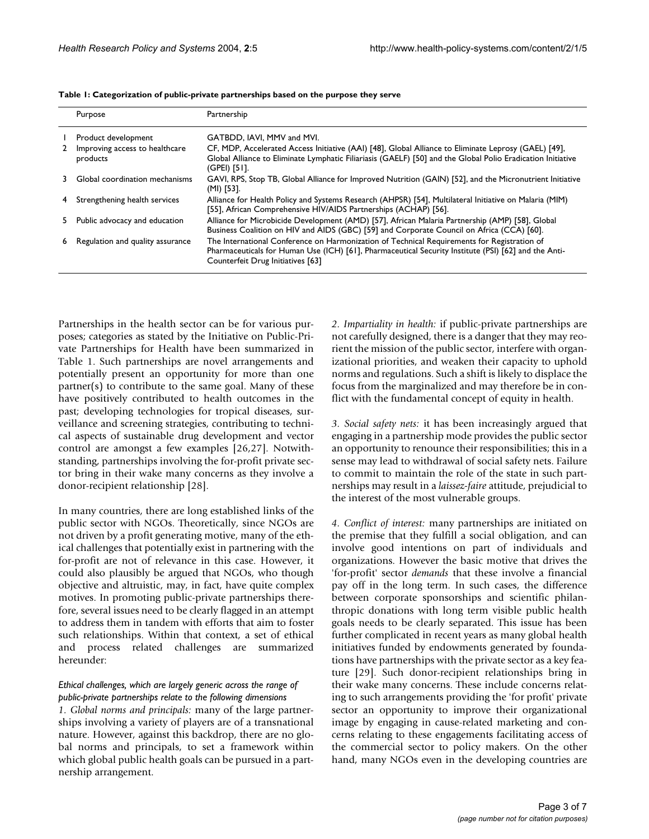|    | Purpose                                    | Partnership                                                                                                                                                                                                                              |
|----|--------------------------------------------|------------------------------------------------------------------------------------------------------------------------------------------------------------------------------------------------------------------------------------------|
|    | Product development                        | GATBDD, IAVI, MMV and MVI.                                                                                                                                                                                                               |
|    | Improving access to healthcare<br>products | CF, MDP, Accelerated Access Initiative (AAI) [48], Global Alliance to Eliminate Leprosy (GAEL) [49],<br>Global Alliance to Eliminate Lymphatic Filiariasis (GAELF) [50] and the Global Polio Eradication Initiative<br>(GPEI) [51].      |
|    | Global coordination mechanisms             | GAVI, RPS, Stop TB, Global Alliance for Improved Nutrition (GAIN) [52], and the Micronutrient Initiative<br>(MI) [53].                                                                                                                   |
|    | Strengthening health services              | Alliance for Health Policy and Systems Research (AHPSR) [54], Multilateral Initiative on Malaria (MIM)<br>[55], African Comprehensive HIV/AIDS Partnerships (ACHAP) [56].                                                                |
| 5. | Public advocacy and education              | Alliance for Microbicide Development (AMD) [57], African Malaria Partnership (AMP) [58], Global<br>Business Coalition on HIV and AIDS (GBC) [59] and Corporate Council on Africa (CCA) [60].                                             |
|    | Regulation and quality assurance           | The International Conference on Harmonization of Technical Requirements for Registration of<br>Pharmaceuticals for Human Use (ICH) [61], Pharmaceutical Security Institute (PSI) [62] and the Anti-<br>Counterfeit Drug Initiatives [63] |

<span id="page-2-0"></span>**Table 1: Categorization of public-private partnerships based on the purpose they serve**

Partnerships in the health sector can be for various purposes; categories as stated by the Initiative on Public-Private Partnerships for Health have been summarized in Table [1](#page-2-0). Such partnerships are novel arrangements and potentially present an opportunity for more than one partner(s) to contribute to the same goal. Many of these have positively contributed to health outcomes in the past; developing technologies for tropical diseases, surveillance and screening strategies, contributing to technical aspects of sustainable drug development and vector control are amongst a few examples [26,27]. Notwithstanding, partnerships involving the for-profit private sector bring in their wake many concerns as they involve a donor-recipient relationship [28].

In many countries, there are long established links of the public sector with NGOs. Theoretically, since NGOs are not driven by a profit generating motive, many of the ethical challenges that potentially exist in partnering with the for-profit are not of relevance in this case. However, it could also plausibly be argued that NGOs, who though objective and altruistic, may, in fact, have quite complex motives. In promoting public-private partnerships therefore, several issues need to be clearly flagged in an attempt to address them in tandem with efforts that aim to foster such relationships. Within that context, a set of ethical and process related challenges are summarized hereunder:

#### *Ethical challenges, which are largely generic across the range of public-private partnerships relate to the following dimensions*

*1. Global norms and principals:* many of the large partnerships involving a variety of players are of a transnational nature. However, against this backdrop, there are no global norms and principals, to set a framework within which global public health goals can be pursued in a partnership arrangement.

*2. Impartiality in health:* if public-private partnerships are not carefully designed, there is a danger that they may reorient the mission of the public sector, interfere with organizational priorities, and weaken their capacity to uphold norms and regulations. Such a shift is likely to displace the focus from the marginalized and may therefore be in conflict with the fundamental concept of equity in health.

*3. Social safety nets:* it has been increasingly argued that engaging in a partnership mode provides the public sector an opportunity to renounce their responsibilities; this in a sense may lead to withdrawal of social safety nets. Failure to commit to maintain the role of the state in such partnerships may result in a *laissez-faire* attitude, prejudicial to the interest of the most vulnerable groups.

*4. Conflict of interest:* many partnerships are initiated on the premise that they fulfill a social obligation, and can involve good intentions on part of individuals and organizations. However the basic motive that drives the 'for-profit' sector *demands* that these involve a financial pay off in the long term. In such cases, the difference between corporate sponsorships and scientific philanthropic donations with long term visible public health goals needs to be clearly separated. This issue has been further complicated in recent years as many global health initiatives funded by endowments generated by foundations have partnerships with the private sector as a key feature [29]. Such donor-recipient relationships bring in their wake many concerns. These include concerns relating to such arrangements providing the 'for profit' private sector an opportunity to improve their organizational image by engaging in cause-related marketing and concerns relating to these engagements facilitating access of the commercial sector to policy makers. On the other hand, many NGOs even in the developing countries are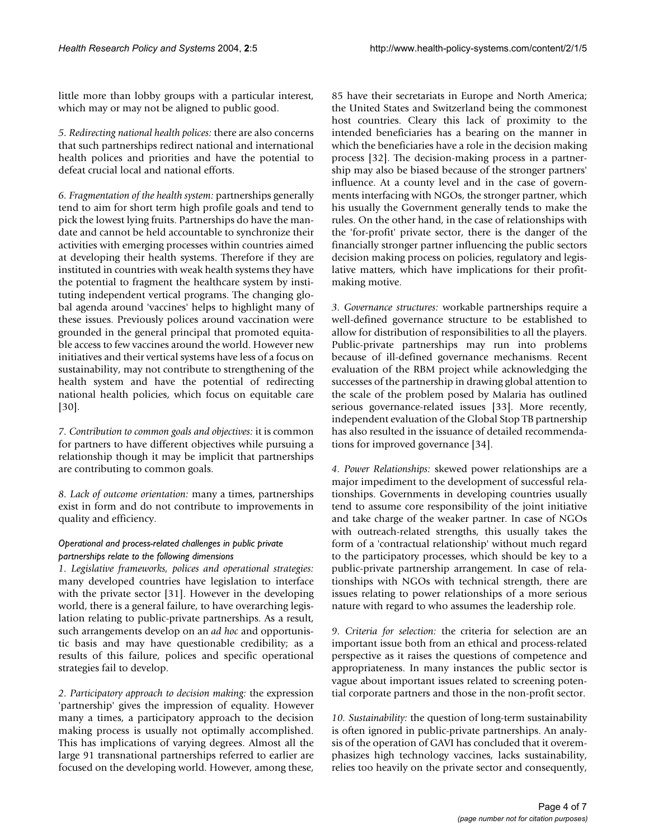little more than lobby groups with a particular interest, which may or may not be aligned to public good.

*5. Redirecting national health polices:* there are also concerns that such partnerships redirect national and international health polices and priorities and have the potential to defeat crucial local and national efforts.

*6. Fragmentation of the health system:* partnerships generally tend to aim for short term high profile goals and tend to pick the lowest lying fruits. Partnerships do have the mandate and cannot be held accountable to synchronize their activities with emerging processes within countries aimed at developing their health systems. Therefore if they are instituted in countries with weak health systems they have the potential to fragment the healthcare system by instituting independent vertical programs. The changing global agenda around 'vaccines' helps to highlight many of these issues. Previously polices around vaccination were grounded in the general principal that promoted equitable access to few vaccines around the world. However new initiatives and their vertical systems have less of a focus on sustainability, may not contribute to strengthening of the health system and have the potential of redirecting national health policies, which focus on equitable care [30].

*7. Contribution to common goals and objectives:* it is common for partners to have different objectives while pursuing a relationship though it may be implicit that partnerships are contributing to common goals.

*8. Lack of outcome orientation:* many a times, partnerships exist in form and do not contribute to improvements in quality and efficiency.

## *Operational and process-related challenges in public private partnerships relate to the following dimensions*

*1. Legislative frameworks, polices and operational strategies:* many developed countries have legislation to interface with the private sector [31]. However in the developing world, there is a general failure, to have overarching legislation relating to public-private partnerships. As a result, such arrangements develop on an *ad hoc* and opportunistic basis and may have questionable credibility; as a results of this failure, polices and specific operational strategies fail to develop.

*2. Participatory approach to decision making:* the expression 'partnership' gives the impression of equality. However many a times, a participatory approach to the decision making process is usually not optimally accomplished. This has implications of varying degrees. Almost all the large 91 transnational partnerships referred to earlier are focused on the developing world. However, among these,

85 have their secretariats in Europe and North America; the United States and Switzerland being the commonest host countries. Cleary this lack of proximity to the intended beneficiaries has a bearing on the manner in which the beneficiaries have a role in the decision making process [32]. The decision-making process in a partnership may also be biased because of the stronger partners' influence. At a county level and in the case of governments interfacing with NGOs, the stronger partner, which his usually the Government generally tends to make the rules. On the other hand, in the case of relationships with the 'for-profit' private sector, there is the danger of the financially stronger partner influencing the public sectors decision making process on policies, regulatory and legislative matters, which have implications for their profitmaking motive.

*3. Governance structures:* workable partnerships require a well-defined governance structure to be established to allow for distribution of responsibilities to all the players. Public-private partnerships may run into problems because of ill-defined governance mechanisms. Recent evaluation of the RBM project while acknowledging the successes of the partnership in drawing global attention to the scale of the problem posed by Malaria has outlined serious governance-related issues [33]. More recently, independent evaluation of the Global Stop TB partnership has also resulted in the issuance of detailed recommendations for improved governance [34].

*4. Power Relationships:* skewed power relationships are a major impediment to the development of successful relationships. Governments in developing countries usually tend to assume core responsibility of the joint initiative and take charge of the weaker partner. In case of NGOs with outreach-related strengths, this usually takes the form of a 'contractual relationship' without much regard to the participatory processes, which should be key to a public-private partnership arrangement. In case of relationships with NGOs with technical strength, there are issues relating to power relationships of a more serious nature with regard to who assumes the leadership role.

*9. Criteria for selection:* the criteria for selection are an important issue both from an ethical and process-related perspective as it raises the questions of competence and appropriateness. In many instances the public sector is vague about important issues related to screening potential corporate partners and those in the non-profit sector.

*10. Sustainability:* the question of long-term sustainability is often ignored in public-private partnerships. An analysis of the operation of GAVI has concluded that it overemphasizes high technology vaccines, lacks sustainability, relies too heavily on the private sector and consequently,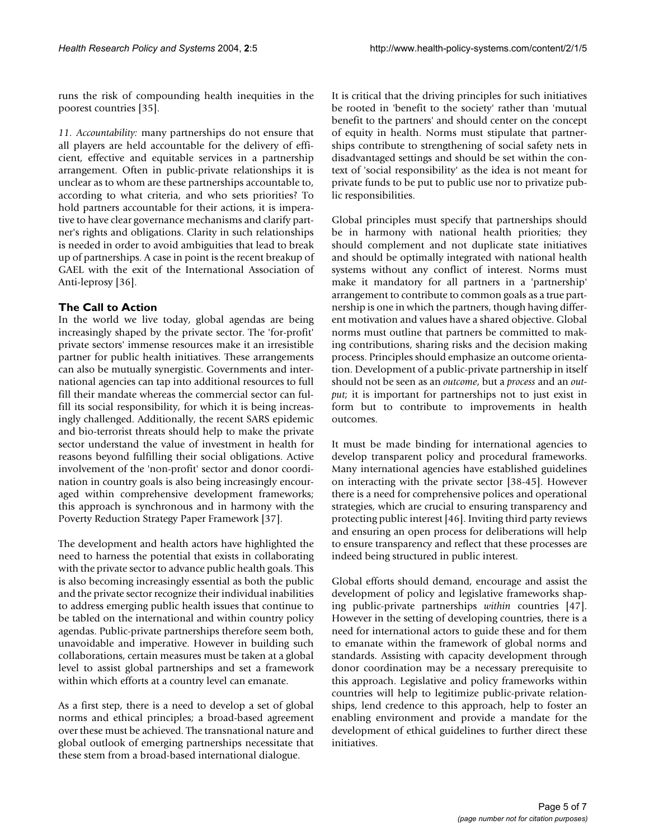runs the risk of compounding health inequities in the poorest countries [35].

*11. Accountability:* many partnerships do not ensure that all players are held accountable for the delivery of efficient, effective and equitable services in a partnership arrangement. Often in public-private relationships it is unclear as to whom are these partnerships accountable to, according to what criteria, and who sets priorities? To hold partners accountable for their actions, it is imperative to have clear governance mechanisms and clarify partner's rights and obligations. Clarity in such relationships is needed in order to avoid ambiguities that lead to break up of partnerships. A case in point is the recent breakup of GAEL with the exit of the International Association of Anti-leprosy [36].

## **The Call to Action**

In the world we live today, global agendas are being increasingly shaped by the private sector. The 'for-profit' private sectors' immense resources make it an irresistible partner for public health initiatives. These arrangements can also be mutually synergistic. Governments and international agencies can tap into additional resources to full fill their mandate whereas the commercial sector can fulfill its social responsibility, for which it is being increasingly challenged. Additionally, the recent SARS epidemic and bio-terrorist threats should help to make the private sector understand the value of investment in health for reasons beyond fulfilling their social obligations. Active involvement of the 'non-profit' sector and donor coordination in country goals is also being increasingly encouraged within comprehensive development frameworks; this approach is synchronous and in harmony with the Poverty Reduction Strategy Paper Framework [37].

The development and health actors have highlighted the need to harness the potential that exists in collaborating with the private sector to advance public health goals. This is also becoming increasingly essential as both the public and the private sector recognize their individual inabilities to address emerging public health issues that continue to be tabled on the international and within country policy agendas. Public-private partnerships therefore seem both, unavoidable and imperative. However in building such collaborations, certain measures must be taken at a global level to assist global partnerships and set a framework within which efforts at a country level can emanate.

As a first step, there is a need to develop a set of global norms and ethical principles; a broad-based agreement over these must be achieved. The transnational nature and global outlook of emerging partnerships necessitate that these stem from a broad-based international dialogue.

It is critical that the driving principles for such initiatives be rooted in 'benefit to the society' rather than 'mutual benefit to the partners' and should center on the concept of equity in health. Norms must stipulate that partnerships contribute to strengthening of social safety nets in disadvantaged settings and should be set within the context of 'social responsibility' as the idea is not meant for private funds to be put to public use nor to privatize public responsibilities.

Global principles must specify that partnerships should be in harmony with national health priorities; they should complement and not duplicate state initiatives and should be optimally integrated with national health systems without any conflict of interest. Norms must make it mandatory for all partners in a 'partnership' arrangement to contribute to common goals as a true partnership is one in which the partners, though having different motivation and values have a shared objective. Global norms must outline that partners be committed to making contributions, sharing risks and the decision making process. Principles should emphasize an outcome orientation. Development of a public-private partnership in itself should not be seen as an *outcome*, but a *process* and an *output*; it is important for partnerships not to just exist in form but to contribute to improvements in health outcomes.

It must be made binding for international agencies to develop transparent policy and procedural frameworks. Many international agencies have established guidelines on interacting with the private sector [38-45]. However there is a need for comprehensive polices and operational strategies, which are crucial to ensuring transparency and protecting public interest [46]. Inviting third party reviews and ensuring an open process for deliberations will help to ensure transparency and reflect that these processes are indeed being structured in public interest.

Global efforts should demand, encourage and assist the development of policy and legislative frameworks shaping public-private partnerships *within* countries [47]. However in the setting of developing countries, there is a need for international actors to guide these and for them to emanate within the framework of global norms and standards. Assisting with capacity development through donor coordination may be a necessary prerequisite to this approach. Legislative and policy frameworks within countries will help to legitimize public-private relationships, lend credence to this approach, help to foster an enabling environment and provide a mandate for the development of ethical guidelines to further direct these initiatives.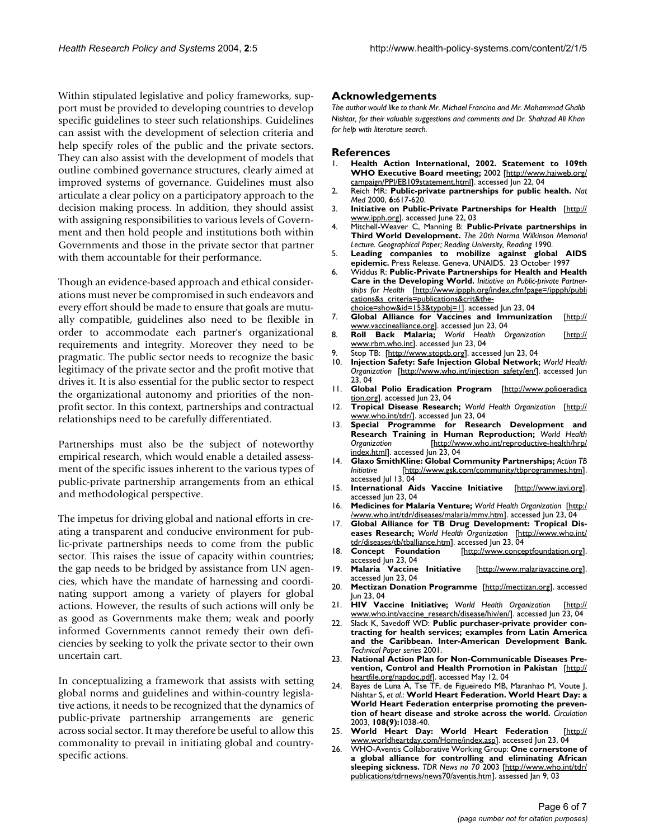Within stipulated legislative and policy frameworks, support must be provided to developing countries to develop specific guidelines to steer such relationships. Guidelines can assist with the development of selection criteria and help specify roles of the public and the private sectors. They can also assist with the development of models that outline combined governance structures, clearly aimed at improved systems of governance. Guidelines must also articulate a clear policy on a participatory approach to the decision making process. In addition, they should assist with assigning responsibilities to various levels of Government and then hold people and institutions both within Governments and those in the private sector that partner with them accountable for their performance.

Though an evidence-based approach and ethical considerations must never be compromised in such endeavors and every effort should be made to ensure that goals are mutually compatible, guidelines also need to be flexible in order to accommodate each partner's organizational requirements and integrity. Moreover they need to be pragmatic. The public sector needs to recognize the basic legitimacy of the private sector and the profit motive that drives it. It is also essential for the public sector to respect the organizational autonomy and priorities of the nonprofit sector. In this context, partnerships and contractual relationships need to be carefully differentiated.

Partnerships must also be the subject of noteworthy empirical research, which would enable a detailed assessment of the specific issues inherent to the various types of public-private partnership arrangements from an ethical and methodological perspective.

The impetus for driving global and national efforts in creating a transparent and conducive environment for public-private partnerships needs to come from the public sector. This raises the issue of capacity within countries; the gap needs to be bridged by assistance from UN agencies, which have the mandate of harnessing and coordinating support among a variety of players for global actions. However, the results of such actions will only be as good as Governments make them; weak and poorly informed Governments cannot remedy their own deficiencies by seeking to yolk the private sector to their own uncertain cart.

In conceptualizing a framework that assists with setting global norms and guidelines and within-country legislative actions, it needs to be recognized that the dynamics of public-private partnership arrangements are generic across social sector. It may therefore be useful to allow this commonality to prevail in initiating global and countryspecific actions.

#### **Acknowledgements**

*The author would like to thank Mr. Michael Francino and Mr. Mohammad Ghalib Nishtar, for their valuable suggestions and comments and Dr. Shahzad Ali Khan for help with literature search.*

#### **References**

- 1. **Health Action International, 2002. Statement to 109th WHO Executive Board meeting;** 2002 [[http://www.haiweb.org/](http://www.haiweb.org/campaign/PPI/EB109statement.html) [campaign/PPI/EB109statement.html\]](http://www.haiweb.org/campaign/PPI/EB109statement.html). accessed Jun 22, 04
- 2. Reich MR: **[Public-private partnerships for public health](http://www.ncbi.nlm.nih.gov/entrez/query.fcgi?cmd=Retrieve&db=PubMed&dopt=Abstract&list_uids=10835666)[.](http://www.ncbi.nlm.nih.gov/entrez/query.fcgi?cmd=Retrieve&db=PubMed&dopt=Abstract&list_uids=10.1038/76176)** *Nat Med* 2000, **6:**617-620.
- 3. **Initiative on Public-Private Partnerships for Health** [\[http://](http://www.ipph.org) [www.ipph.org\]](http://www.ipph.org). accessed June 22, 03
- 4. Mitchell-Weaver C, Manning B: **Public-Private partnerships in Third World Development.** *The 20th Norma Wilkinson Memorial Lecture. Geographical Paper; Reading University, Reading* 1990.
- 5. **Leading companies to mobilize against global AIDS epidemic.** Press Release. Geneva, UNAIDS. 23 October 1997
- 6. Widdus R: **Public-Private Partnerships for Health and Health Care in the Developing World.** *Initiative on Public-private Partnerships for Health* [[http://www.ippph.org/index.cfm?page=/ippph/publi](http://www.ippph.org/index.cfm?page=/ippph/publications&s_criteria=publications&crit&thechoice=show&id=153&typobj=1) [cations&s\\_criteria=publications&crit&the](http://www.ippph.org/index.cfm?page=/ippph/publications&s_criteria=publications&crit&thechoice=show&id=153&typobj=1)[choice=show&id=153&typobj=1](http://www.ippph.org/index.cfm?page=/ippph/publications&s_criteria=publications&crit&thechoice=show&id=153&typobj=1)]. accessed Jun 23, 04
- 7. **Global Alliance for Vaccines and Immunization** [\[http://](http://www.vaccinealliance.org) [www.vaccinealliance.org\]](http://www.vaccinealliance.org). accessed Jun 23, 04
- 8. **Roll Back Malaria;** *World Health Organization* [\[http://](http://www.rbm.who.int) [www.rbm.who.int](http://www.rbm.who.int)]. accessed Jun 23, 04
- 9. Stop TB: [\[http://www.stoptb.org](http://www.stoptb.org)]. accessed Jun 23, 04<br>10. Injection Safety: Safe Injection Global Network:
- 10. **Injection Safety: Safe Injection Global Network;** *World Health Organization* [\[http://www.who.int/injection\\_safety/en/\]](http://www.who.int/injection_safety/en/). accessed Jun 23, 04
- 11. **Global Polio Eradication Program** [[http://www.polioeradica](http://www.polioeradication.org) [tion.org\]](http://www.polioeradication.org). accessed Jun 23, 04
- 12. **Tropical Disease Research;** *World Health Organization* [\[http://](http://www.who.int/tdr/) [www.who.int/tdr/\]](http://www.who.int/tdr/). accessed Jun 23, 04
- 13. **Special Programme for Research Development and Research Training in Human Reproduction;** *World Health Organization* [\[http://www.who.int/reproductive-health/hrp/](http://www.who.int/reproductive-health/hrp/index.html) [index.html](http://www.who.int/reproductive-health/hrp/index.html)]. accessed Jun 23, 04
- 14. **Glaxo SmithKline: Global Community Partnerships;** *Action TB* [\[http://www.gsk.com/community/tbprogrammes.htm\]](http://www.gsk.com/community/tbprogrammes.htm). accessed Jul 13, 04
- 15. **International Aids Vaccine Initiative** [[http://www.iavi.org\]](http://www.iavi.org). accessed Jun 23, 04
- 16. **Medicines for Malaria Venture;** *World Health Organization* [[http:/](http://www.who.int/tdr/diseases/malaria/mmv.htm) [/www.who.int/tdr/diseases/malaria/mmv.htm](http://www.who.int/tdr/diseases/malaria/mmv.htm)]. accessed Jun 23, 04
- 17. **Global Alliance for TB Drug Development: Tropical Diseases Research;** *World Health Organization* [[http://www.who.int/](http://www.who.int/tdr/diseases/tb/tballiance.htm)
- [tdr/diseases/tb/tballiance.htm](http://www.who.int/tdr/diseases/tb/tballiance.htm)]. accessed Jun 23, 04<br>18. Concept Foundation [http://www.conce [[http://www.conceptfoundation.org\]](http://www.conceptfoundation.org). accessed Jun 23, 04
- 19. **Malaria Vaccine Initiative** [[http://www.malariavaccine.org\]](http://www.malariavaccine.org). accessed Jun 23, 04
- 20. **Mectizan Donation Programme** [[http://mectizan.org\]](http://mectizan.org). accessed Jun 23, 04
- 21. **HIV Vaccine Initiative;** *World Health Organization* [\[http://](http://www.who.int/vaccine_research/disease/hiv/en/) [www.who.int/vaccine\\_research/disease/hiv/en/](http://www.who.int/vaccine_research/disease/hiv/en/)]. accessed Jun 23, 04
- 22. Slack K, Savedoff WD: **Public purchaser-private provider contracting for health services; examples from Latin America and the Caribbean. Inter-American Development Bank.** *Technical Paper series* 2001.
- 23. **National Action Plan for Non-Communicable Diseases Prevention, Control and Health Promotion in Pakistan** [\[http://](http://heartfile.org/napdoc.pdf) [heartfile.org/napdoc.pdf\]](http://heartfile.org/napdoc.pdf). accessed May 12, 04
- 24. Bayes de Luna A, Tse TF, de Figueiredo MB, Maranhao M, Voute J, Nishtar S, *et al.*: **[World Heart Federation. World Heart Day: a](http://www.ncbi.nlm.nih.gov/entrez/query.fcgi?cmd=Retrieve&db=PubMed&dopt=Abstract&list_uids=10.1161/01.CIR.0000089504.27796.2C) [World Heart Federation enterprise promoting the preven](http://www.ncbi.nlm.nih.gov/entrez/query.fcgi?cmd=Retrieve&db=PubMed&dopt=Abstract&list_uids=10.1161/01.CIR.0000089504.27796.2C)[tion of heart disease and stroke across the world](http://www.ncbi.nlm.nih.gov/entrez/query.fcgi?cmd=Retrieve&db=PubMed&dopt=Abstract&list_uids=10.1161/01.CIR.0000089504.27796.2C)[.](http://www.ncbi.nlm.nih.gov/entrez/query.fcgi?cmd=Retrieve&db=PubMed&dopt=Abstract&list_uids=12952824)** *Circulation* 2003, **108(9):**1038-40.
- 25. World Heart Day: World Heart Federation [www.worldheartday.com/Home/index.asp\]](http://www.worldheartday.com/Home/index.asp). accessed Jun 23, 04
- 26. WHO-Aventis Collaborative Working Group: **One cornerstone of a global alliance for controlling and eliminating African sleeping sickness.** *TDR News no 70* 2003 [[http://www.who.int/tdr/](http://www.who.int/tdr/publications/tdrnews/news70/aventis.htm) [publications/tdrnews/news70/aventis.htm](http://www.who.int/tdr/publications/tdrnews/news70/aventis.htm)]. assessed Jan 9, 03